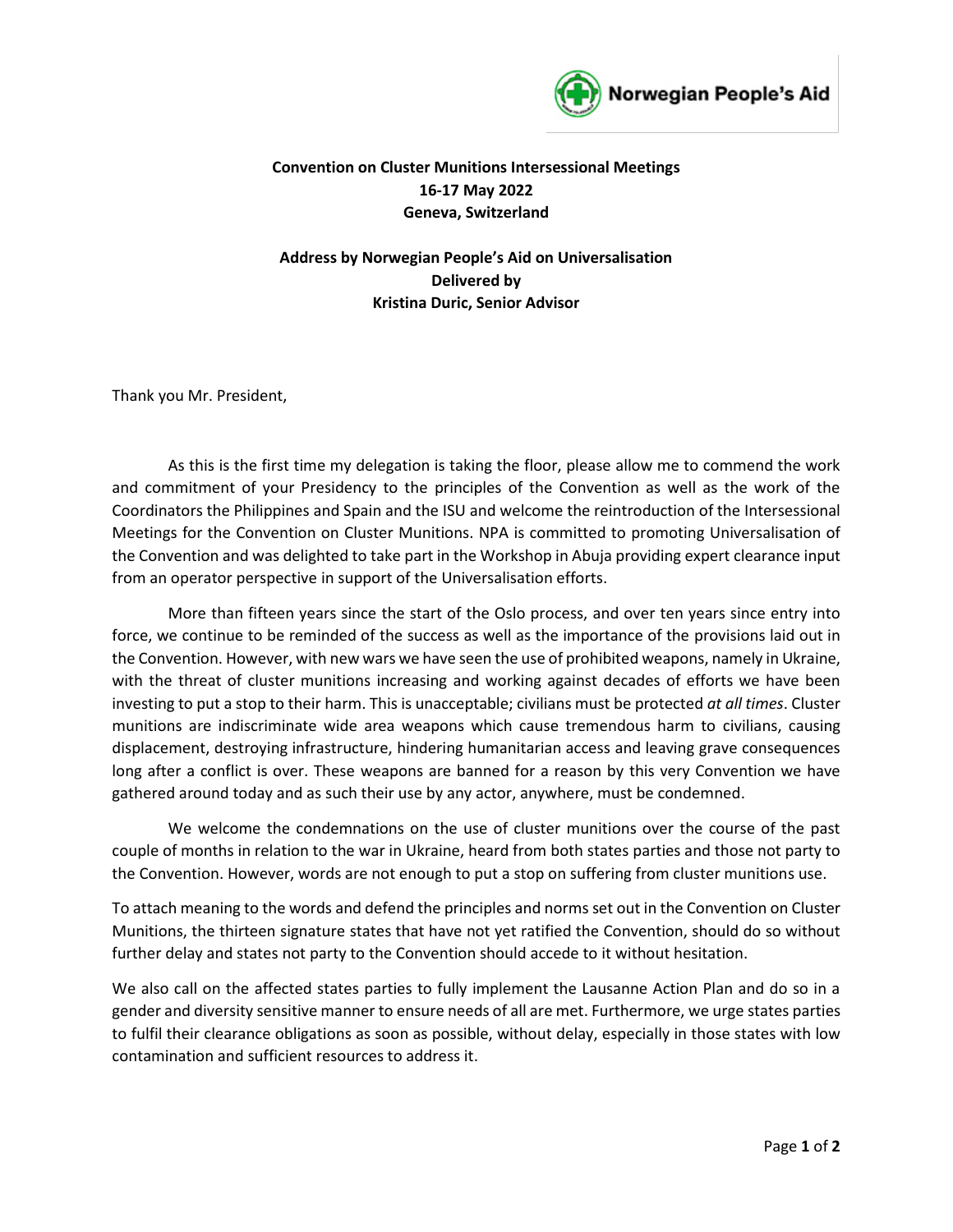

## **Convention on Cluster Munitions Intersessional Meetings 16-17 May 2022 Geneva, Switzerland**

**Address by Norwegian People's Aid on Universalisation Delivered by Kristina Duric, Senior Advisor**

Thank you Mr. President,

As this is the first time my delegation is taking the floor, please allow me to commend the work and commitment of your Presidency to the principles of the Convention as well as the work of the Coordinators the Philippines and Spain and the ISU and welcome the reintroduction of the Intersessional Meetings for the Convention on Cluster Munitions. NPA is committed to promoting Universalisation of the Convention and was delighted to take part in the Workshop in Abuja providing expert clearance input from an operator perspective in support of the Universalisation efforts.

More than fifteen years since the start of the Oslo process, and over ten years since entry into force, we continue to be reminded of the success as well as the importance of the provisions laid out in the Convention. However, with new wars we have seen the use of prohibited weapons, namely in Ukraine, with the threat of cluster munitions increasing and working against decades of efforts we have been investing to put a stop to their harm. This is unacceptable; civilians must be protected *at all times*. Cluster munitions are indiscriminate wide area weapons which cause tremendous harm to civilians, causing displacement, destroying infrastructure, hindering humanitarian access and leaving grave consequences long after a conflict is over. These weapons are banned for a reason by this very Convention we have gathered around today and as such their use by any actor, anywhere, must be condemned.

We welcome the condemnations on the use of cluster munitions over the course of the past couple of months in relation to the war in Ukraine, heard from both states parties and those not party to the Convention. However, words are not enough to put a stop on suffering from cluster munitions use.

To attach meaning to the words and defend the principles and norms set out in the Convention on Cluster Munitions, the thirteen signature states that have not yet ratified the Convention, should do so without further delay and states not party to the Convention should accede to it without hesitation.

We also call on the affected states parties to fully implement the Lausanne Action Plan and do so in a gender and diversity sensitive manner to ensure needs of all are met. Furthermore, we urge states parties to fulfil their clearance obligations as soon as possible, without delay, especially in those states with low contamination and sufficient resources to address it.